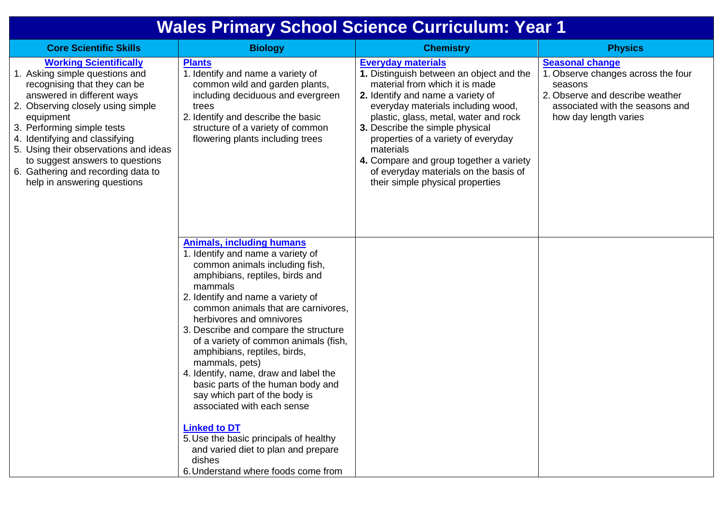## **Wales Primary School Science Curriculum: Year 1**

| <b>Core Scientific Skills</b>                                                                                                                                                                                                                                                                                                                                                                    | <b>Biology</b>                                                                                                                                                                                                                                                                                                                                                                                                                                                                                                                                                                                                                                                                                          | <b>Chemistry</b>                                                                                                                                                                                                                                                                                                                                                                                                                           | <b>Physics</b>                                                                                                                                                         |
|--------------------------------------------------------------------------------------------------------------------------------------------------------------------------------------------------------------------------------------------------------------------------------------------------------------------------------------------------------------------------------------------------|---------------------------------------------------------------------------------------------------------------------------------------------------------------------------------------------------------------------------------------------------------------------------------------------------------------------------------------------------------------------------------------------------------------------------------------------------------------------------------------------------------------------------------------------------------------------------------------------------------------------------------------------------------------------------------------------------------|--------------------------------------------------------------------------------------------------------------------------------------------------------------------------------------------------------------------------------------------------------------------------------------------------------------------------------------------------------------------------------------------------------------------------------------------|------------------------------------------------------------------------------------------------------------------------------------------------------------------------|
| <b>Working Scientifically</b><br>1. Asking simple questions and<br>recognising that they can be<br>answered in different ways<br>2. Observing closely using simple<br>equipment<br>3. Performing simple tests<br>4. Identifying and classifying<br>5. Using their observations and ideas<br>to suggest answers to questions<br>6. Gathering and recording data to<br>help in answering questions | <b>Plants</b><br>1. Identify and name a variety of<br>common wild and garden plants,<br>including deciduous and evergreen<br>trees<br>2. Identify and describe the basic<br>structure of a variety of common<br>flowering plants including trees                                                                                                                                                                                                                                                                                                                                                                                                                                                        | <b>Everyday materials</b><br>1. Distinguish between an object and the<br>material from which it is made<br>2. Identify and name a variety of<br>everyday materials including wood,<br>plastic, glass, metal, water and rock<br>3. Describe the simple physical<br>properties of a variety of everyday<br>materials<br>4. Compare and group together a variety<br>of everyday materials on the basis of<br>their simple physical properties | <b>Seasonal change</b><br>1. Observe changes across the four<br>seasons<br>2. Observe and describe weather<br>associated with the seasons and<br>how day length varies |
|                                                                                                                                                                                                                                                                                                                                                                                                  | <b>Animals, including humans</b><br>1. Identify and name a variety of<br>common animals including fish,<br>amphibians, reptiles, birds and<br>mammals<br>2. Identify and name a variety of<br>common animals that are carnivores,<br>herbivores and omnivores<br>3. Describe and compare the structure<br>of a variety of common animals (fish,<br>amphibians, reptiles, birds,<br>mammals, pets)<br>4. Identify, name, draw and label the<br>basic parts of the human body and<br>say which part of the body is<br>associated with each sense<br><b>Linked to DT</b><br>5. Use the basic principals of healthy<br>and varied diet to plan and prepare<br>dishes<br>6. Understand where foods come from |                                                                                                                                                                                                                                                                                                                                                                                                                                            |                                                                                                                                                                        |